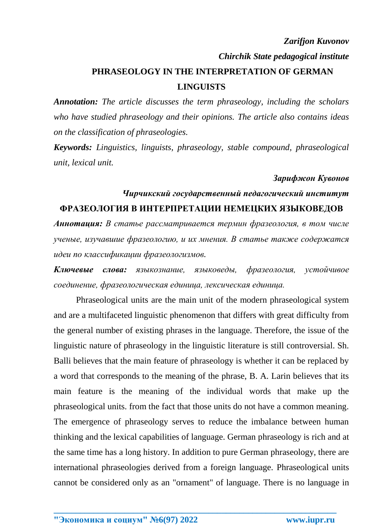#### *Zarifjon Kuvonov*

*Chirchik State pedagogical institute*

# **PHRASEOLOGY IN THE INTERPRETATION OF GERMAN LINGUISTS**

*Annotation: The article discusses the term phraseology, including the scholars who have studied phraseology and their opinions. The article also contains ideas on the classification of phraseologies.*

*Keywords: Linguistics, linguists, phraseology, stable compound, phraseological unit, lexical unit.*

#### *Зарифжон Кувонов*

## *Чирчикский государственный педагогический институт* **ФРАЗЕОЛОГИЯ В ИНТЕРПРЕТАЦИИ НЕМЕЦКИХ ЯЗЫКОВЕДОВ**

*Аннотация: В статье рассматривается термин фразеология, в том числе ученые, изучавшие фразеологию, и их мнения. В статье также содержатся идеи по классификации фразеологизмов.*

*Ключевые слова: языкознание, языковеды, фразеология, устойчивое соединение, фразеологическая единица, лексическая единица.*

Phraseological units are the main unit of the modern phraseological system and are a multifaceted linguistic phenomenon that differs with great difficulty from the general number of existing phrases in the language. Therefore, the issue of the linguistic nature of phraseology in the linguistic literature is still controversial. Sh. Balli believes that the main feature of phraseology is whether it can be replaced by a word that corresponds to the meaning of the phrase, B. A. Larin believes that its main feature is the meaning of the individual words that make up the phraseological units. from the fact that those units do not have a common meaning. The emergence of phraseology serves to reduce the imbalance between human thinking and the lexical capabilities of language. German phraseology is rich and at the same time has a long history. In addition to pure German phraseology, there are international phraseologies derived from a foreign language. Phraseological units cannot be considered only as an "ornament" of language. There is no language in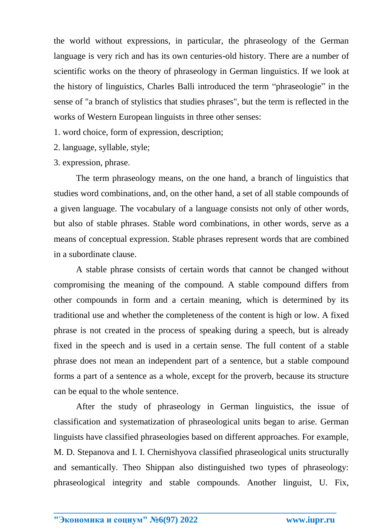the world without expressions, in particular, the phraseology of the German language is very rich and has its own centuries-old history. There are a number of scientific works on the theory of phraseology in German linguistics. If we look at the history of linguistics, Charles Balli introduced the term "phraseologie" in the sense of "a branch of stylistics that studies phrases", but the term is reflected in the works of Western European linguists in three other senses:

1. word choice, form of expression, description;

2. language, syllable, style;

3. expression, phrase.

The term phraseology means, on the one hand, a branch of linguistics that studies word combinations, and, on the other hand, a set of all stable compounds of a given language. The vocabulary of a language consists not only of other words, but also of stable phrases. Stable word combinations, in other words, serve as a means of conceptual expression. Stable phrases represent words that are combined in a subordinate clause.

A stable phrase consists of certain words that cannot be changed without compromising the meaning of the compound. A stable compound differs from other compounds in form and a certain meaning, which is determined by its traditional use and whether the completeness of the content is high or low. A fixed phrase is not created in the process of speaking during a speech, but is already fixed in the speech and is used in a certain sense. The full content of a stable phrase does not mean an independent part of a sentence, but a stable compound forms a part of a sentence as a whole, except for the proverb, because its structure can be equal to the whole sentence.

After the study of phraseology in German linguistics, the issue of classification and systematization of phraseological units began to arise. German linguists have classified phraseologies based on different approaches. For example, M. D. Stepanova and I. I. Chernishyova classified phraseological units structurally and semantically. Theo Shippan also distinguished two types of phraseology: phraseological integrity and stable compounds. Another linguist, U. Fix,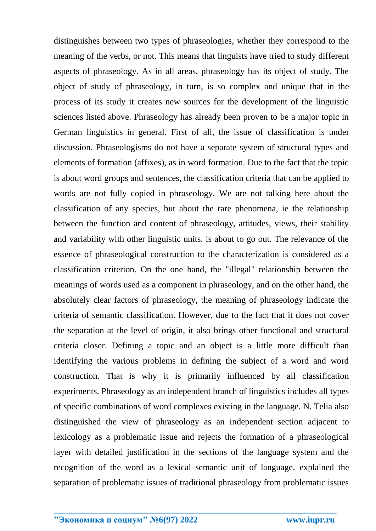distinguishes between two types of phraseologies, whether they correspond to the meaning of the verbs, or not. This means that linguists have tried to study different aspects of phraseology. As in all areas, phraseology has its object of study. The object of study of phraseology, in turn, is so complex and unique that in the process of its study it creates new sources for the development of the linguistic sciences listed above. Phraseology has already been proven to be a major topic in German linguistics in general. First of all, the issue of classification is under discussion. Phraseologisms do not have a separate system of structural types and elements of formation (affixes), as in word formation. Due to the fact that the topic is about word groups and sentences, the classification criteria that can be applied to words are not fully copied in phraseology. We are not talking here about the classification of any species, but about the rare phenomena, ie the relationship between the function and content of phraseology, attitudes, views, their stability and variability with other linguistic units. is about to go out. The relevance of the essence of phraseological construction to the characterization is considered as a classification criterion. On the one hand, the "illegal" relationship between the meanings of words used as a component in phraseology, and on the other hand, the absolutely clear factors of phraseology, the meaning of phraseology indicate the criteria of semantic classification. However, due to the fact that it does not cover the separation at the level of origin, it also brings other functional and structural criteria closer. Defining a topic and an object is a little more difficult than identifying the various problems in defining the subject of a word and word construction. That is why it is primarily influenced by all classification experiments. Phraseology as an independent branch of linguistics includes all types of specific combinations of word complexes existing in the language. N. Telia also distinguished the view of phraseology as an independent section adjacent to lexicology as a problematic issue and rejects the formation of a phraseological layer with detailed justification in the sections of the language system and the recognition of the word as a lexical semantic unit of language. explained the separation of problematic issues of traditional phraseology from problematic issues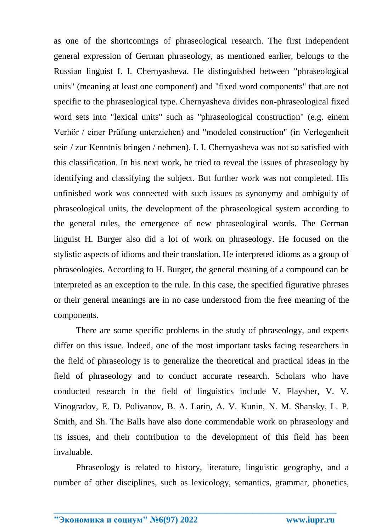as one of the shortcomings of phraseological research. The first independent general expression of German phraseology, as mentioned earlier, belongs to the Russian linguist I. I. Chernyasheva. He distinguished between "phraseological units" (meaning at least one component) and "fixed word components" that are not specific to the phraseological type. Chernyasheva divides non-phraseological fixed word sets into "lexical units" such as "phraseological construction" (e.g. einem Verhör / einer Prüfung unterziehen) and "modeled construction" (in Verlegenheit sein / zur Kenntnis bringen / nehmen). I. I. Chernyasheva was not so satisfied with this classification. In his next work, he tried to reveal the issues of phraseology by identifying and classifying the subject. But further work was not completed. His unfinished work was connected with such issues as synonymy and ambiguity of phraseological units, the development of the phraseological system according to the general rules, the emergence of new phraseological words. The German linguist H. Burger also did a lot of work on phraseology. He focused on the stylistic aspects of idioms and their translation. He interpreted idioms as a group of phraseologies. According to H. Burger, the general meaning of a compound can be interpreted as an exception to the rule. In this case, the specified figurative phrases or their general meanings are in no case understood from the free meaning of the components.

There are some specific problems in the study of phraseology, and experts differ on this issue. Indeed, one of the most important tasks facing researchers in the field of phraseology is to generalize the theoretical and practical ideas in the field of phraseology and to conduct accurate research. Scholars who have conducted research in the field of linguistics include V. Flaysher, V. V. Vinogradov, E. D. Polivanov, B. A. Larin, A. V. Kunin, N. M. Shansky, L. P. Smith, and Sh. The Balls have also done commendable work on phraseology and its issues, and their contribution to the development of this field has been invaluable.

Phraseology is related to history, literature, linguistic geography, and a number of other disciplines, such as lexicology, semantics, grammar, phonetics,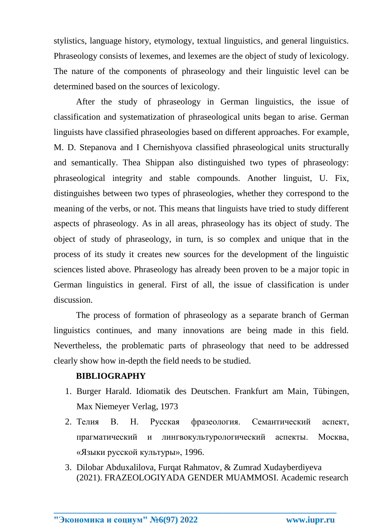stylistics, language history, etymology, textual linguistics, and general linguistics. Phraseology consists of lexemes, and lexemes are the object of study of lexicology. The nature of the components of phraseology and their linguistic level can be determined based on the sources of lexicology.

After the study of phraseology in German linguistics, the issue of classification and systematization of phraseological units began to arise. German linguists have classified phraseologies based on different approaches. For example, M. D. Stepanova and I Chernishyova classified phraseological units structurally and semantically. Thea Shippan also distinguished two types of phraseology: phraseological integrity and stable compounds. Another linguist, U. Fix, distinguishes between two types of phraseologies, whether they correspond to the meaning of the verbs, or not. This means that linguists have tried to study different aspects of phraseology. As in all areas, phraseology has its object of study. The object of study of phraseology, in turn, is so complex and unique that in the process of its study it creates new sources for the development of the linguistic sciences listed above. Phraseology has already been proven to be a major topic in German linguistics in general. First of all, the issue of classification is under discussion.

The process of formation of phraseology as a separate branch of German linguistics continues, and many innovations are being made in this field. Nevertheless, the problematic parts of phraseology that need to be addressed clearly show how in-depth the field needs to be studied.

### **BIBLIOGRAPHY**

- 1. Burger Harald. Idiomatik des Deutschen. Frankfurt am Main, Tübingen, Max Niemeyer Verlag, 1973
- 2. Телия В. Н. Русская фразеология. Семантический аспект, прагматический и лингвокультурологический аспекты. Москва, «Языки русской культуры», 1996.
- 3. Dilobar Abduxalilova, Furqat Rahmatov, & Zumrad Xudayberdiyeva (2021). FRAZEOLOGIYADA GENDER MUAMMOSI. Academic research